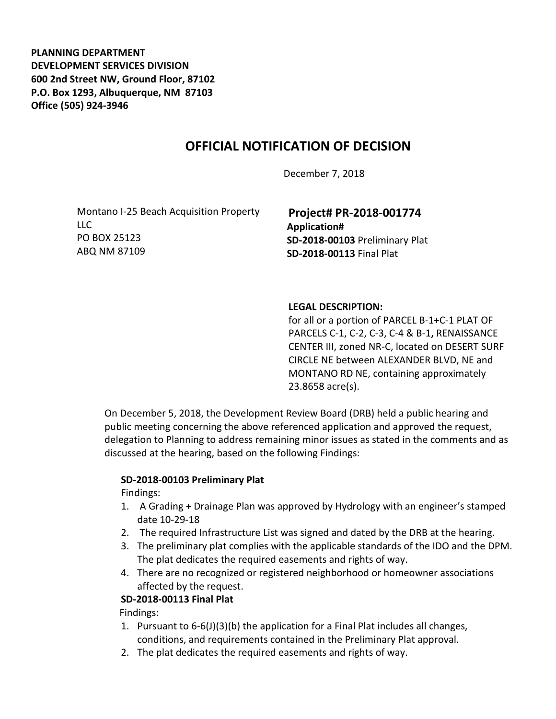**PLANNING DEPARTMENT DEVELOPMENT SERVICES DIVISION 600 2nd Street NW, Ground Floor, 87102 P.O. Box 1293, Albuquerque, NM 87103 Office (505) 924-3946** 

## **OFFICIAL NOTIFICATION OF DECISION**

December 7, 2018

Montano I-25 Beach Acquisition Property LLC PO BOX 25123 ABQ NM 87109

**Project# PR-2018-001774 Application# SD-2018-00103** Preliminary Plat **SD-2018-00113** Final Plat

## **LEGAL DESCRIPTION:**

for all or a portion of PARCEL B-1+C-1 PLAT OF PARCELS C-1, C-2, C-3, C-4 & B-1**,** RENAISSANCE CENTER III, zoned NR-C, located on DESERT SURF CIRCLE NE between ALEXANDER BLVD, NE and MONTANO RD NE, containing approximately 23.8658 acre(s).

On December 5, 2018, the Development Review Board (DRB) held a public hearing and public meeting concerning the above referenced application and approved the request, delegation to Planning to address remaining minor issues as stated in the comments and as discussed at the hearing, based on the following Findings:

## **SD-2018-00103 Preliminary Plat**

Findings:

- 1. A Grading + Drainage Plan was approved by Hydrology with an engineer's stamped date 10-29-18
- 2. The required Infrastructure List was signed and dated by the DRB at the hearing.
- 3. The preliminary plat complies with the applicable standards of the IDO and the DPM. The plat dedicates the required easements and rights of way.
- 4. There are no recognized or registered neighborhood or homeowner associations affected by the request.

## **SD-2018-00113 Final Plat**

Findings:

- 1. Pursuant to 6-6(J)(3)(b) the application for a Final Plat includes all changes, conditions, and requirements contained in the Preliminary Plat approval.
- 2. The plat dedicates the required easements and rights of way.